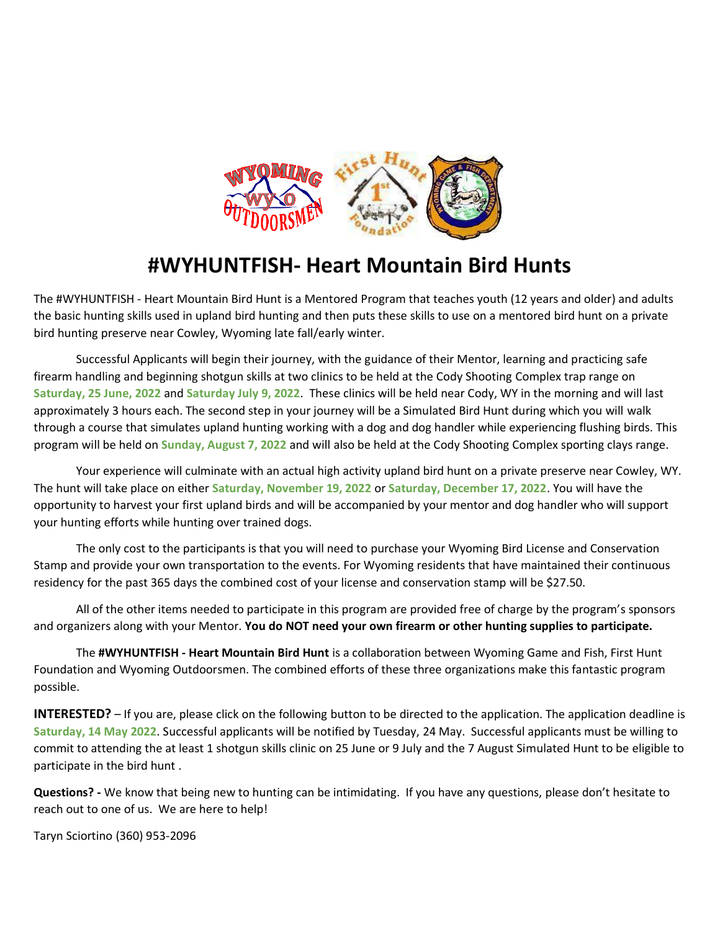

## **#WYHUNTFISH- Heart Mountain Bird Hunts**

The #WYHUNTFISH - Heart Mountain Bird Hunt is a Mentored Program that teaches youth (12 years and older) and adults the basic hunting skills used in upland bird hunting and then puts these skills to use on a mentored bird hunt on a private bird hunting preserve near Cowley, Wyoming late fall/early winter.

Successful Applicants will begin their journey, with the guidance of their Mentor, learning and practicing safe firearm handling and beginning shotgun skills at two clinics to be held at the Cody Shooting Complex trap range on **Saturday, 25 June, 2022** and **Saturday July 9, 2022**. These clinics will be held near Cody, WY in the morning and will last approximately 3 hours each. The second step in your journey will be a Simulated Bird Hunt during which you will walk through a course that simulates upland hunting working with a dog and dog handler while experiencing flushing birds. This program will be held on **Sunday, August 7, 2022** and will also be held at the Cody Shooting Complex sporting clays range.

Your experience will culminate with an actual high activity upland bird hunt on a private preserve near Cowley, WY. The hunt will take place on either **Saturday, November 19, 2022** or **Saturday, December 17, 2022**. You will have the opportunity to harvest your first upland birds and will be accompanied by your mentor and dog handler who will support your hunting efforts while hunting over trained dogs.

The only cost to the participants is that you will need to purchase your Wyoming Bird License and Conservation Stamp and provide your own transportation to the events. For Wyoming residents that have maintained their continuous residency for the past 365 days the combined cost of your license and conservation stamp will be \$27.50.

All of the other items needed to participate in this program are provided free of charge by the program's sponsors and organizers along with your Mentor. **You do NOT need your own firearm or other hunting supplies to participate.**

The **#WYHUNTFISH - Heart Mountain Bird Hunt** is a collaboration between Wyoming Game and Fish, First Hunt Foundation and Wyoming Outdoorsmen. The combined efforts of these three organizations make this fantastic program possible.

**INTERESTED?** – If you are, please click on the following button to be directed to the application. The application deadline is **Saturday, 14 May 2022**. Successful applicants will be notified by Tuesday, 24 May. Successful applicants must be willing to commit to attending the at least 1 shotgun skills clinic on 25 June or 9 July and the 7 August Simulated Hunt to be eligible to participate in the bird hunt .

**Questions? -** We know that being new to hunting can be intimidating. If you have any questions, please don't hesitate to reach out to one of us. We are here to help!

Taryn Sciortino (360) 953-2096